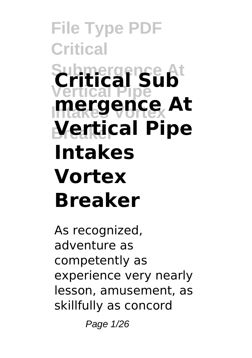# **File Type PDF Critical Critical Sub Vertical Pipe Intakes Vortex mergence At Breaker Vertical Pipe Intakes Vortex Breaker**

As recognized, adventure as competently as experience very nearly lesson, amusement, as skillfully as concord

Page 1/26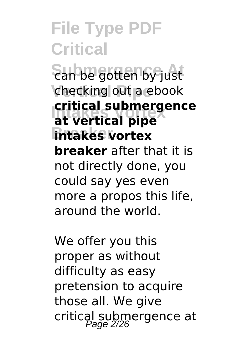### **File Type PDF Critical San be gotten by just** checking out a ebook **Intakes Vortex at vertical pipe Intakes** vortex **critical submergence breaker** after that it is not directly done, you could say yes even more a propos this life, around the world.

We offer you this proper as without difficulty as easy pretension to acquire those all. We give critical submergence at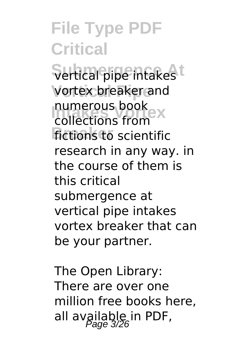**File Type PDF Critical** Sertical pipe intakes<sup>t</sup> **Vertical Pipe** vortex breaker and numerous book<br>Collections from **fictions to scientific** collections from research in any way. in the course of them is this critical submergence at vertical pipe intakes vortex breaker that can be your partner.

The Open Library: There are over one million free books here, all available in PDF,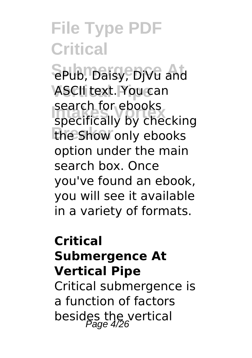SPub, Daisy, DjVu and **ASCII text. You can** search for ebooks<br>specifically by checking the Show only ebooks search for ebooks option under the main search box. Once you've found an ebook, you will see it available in a variety of formats.

### **Critical Submergence At Vertical Pipe**

Critical submergence is a function of factors besides the vertical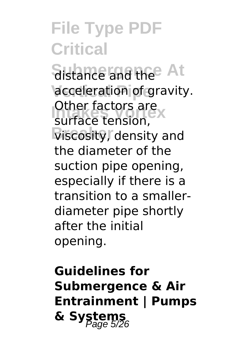**Sistance and the At** acceleration of gravity. Other factors are<br>surface tension **Viscosity, density and** surface tension, the diameter of the suction pipe opening, especially if there is a transition to a smallerdiameter pipe shortly after the initial opening.

### **Guidelines for Submergence & Air Entrainment | Pumps** & Systems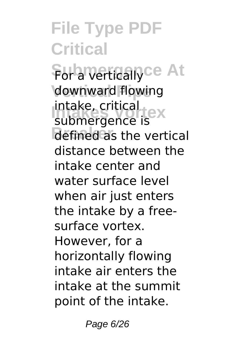**File Type PDF Critical For a vertically ce At** downward flowing **Intake, critical**<br>Submergence is defined as the vertical submergence is distance between the intake center and water surface level when air just enters the intake by a freesurface vortex. However, for a horizontally flowing intake air enters the intake at the summit point of the intake.

Page 6/26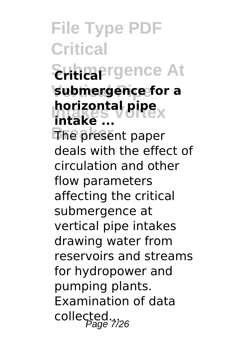**File Type PDF Critical**  $\epsilon$ Hitlaargence At **Vertical Pipe submergence for a horizontal pipe**<br>intakes **The present paper intake ...** deals with the effect of circulation and other flow parameters affecting the critical submergence at vertical pipe intakes drawing water from reservoirs and streams for hydropower and pumping plants. Examination of data collected...<br>collected...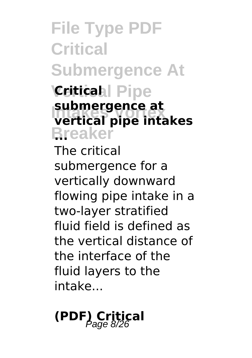**File Type PDF Critical Submergence At Vertical Pipe Critical Intakes Vortex vertical pipe intakes Breaker ... submergence at** The critical submergence for a vertically downward flowing pipe intake in a two-layer stratified fluid field is defined as the vertical distance of the interface of the

fluid layers to the intake...

**(PDF) Critical** Page 8/26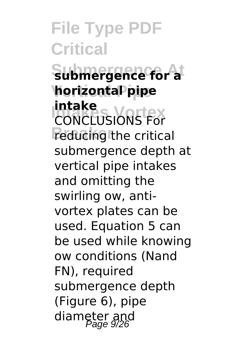**File Type PDF Critical Submergence At submergence for a Vertical Pipe horizontal pipe Intake**<br>CONCLUSIONS For **Peducing the critical intake** submergence depth at vertical pipe intakes and omitting the swirling ow, antivortex plates can be used. Equation 5 can be used while knowing ow conditions (Nand FN), required submergence depth (Figure 6), pipe diameter and<br>Page 9/26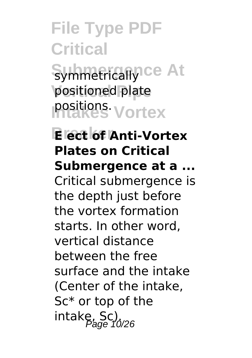**File Type PDF Critical** Symmetrically ce At positioned plate **Intakes Vortex** positions.

**Breaker E ect of Anti-Vortex Plates on Critical Submergence at a ...** Critical submergence is the depth just before the vortex formation starts. In other word, vertical distance between the free surface and the intake (Center of the intake, Sc\* or top of the intake, Sc).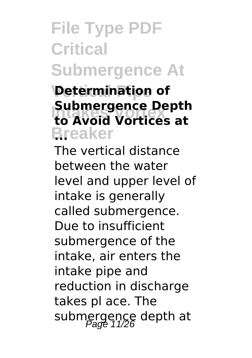# **File Type PDF Critical Submergence At**

#### **Determination of Intakes Vortex to Avoid Vortices at Breaker ... Submergence Depth**

The vertical distance between the water level and upper level of intake is generally called submergence. Due to insufficient submergence of the intake, air enters the intake pipe and reduction in discharge takes pl ace. The submergence depth at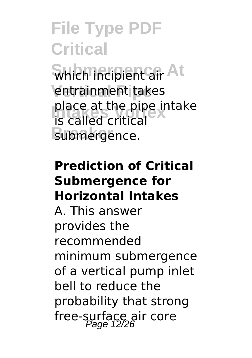**Subch incipient air At** entrainment takes place at the pipe in<br> **is called critical** submergence. place at the pipe intake

#### **Prediction of Critical Submergence for Horizontal Intakes**

A. This answer provides the recommended minimum submergence of a vertical pump inlet bell to reduce the probability that strong free-surface air core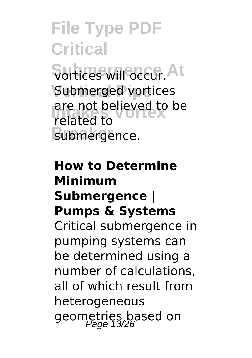Surtices will occur. At Submerged vortices are not believed to be<br> *related to* submergence. related to

### **How to Determine Minimum Submergence | Pumps & Systems** Critical submergence in pumping systems can be determined using a number of calculations, all of which result from heterogeneous geometries based on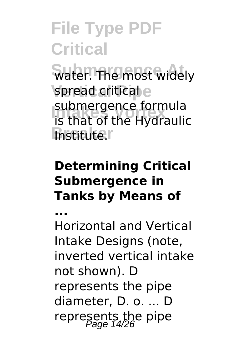water. The most widely spread critical e **Submergence formula**<br>**is that of the Hydrauli Institute.** is that of the Hydraulic

#### **Determining Critical Submergence in Tanks by Means of**

**...**

Horizontal and Vertical Intake Designs (note, inverted vertical intake not shown). D represents the pipe diameter, D. o. ... D represents the pipe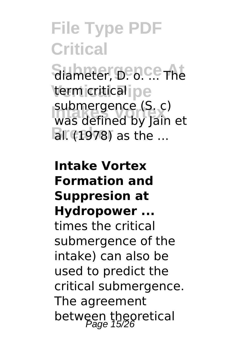**File Type PDF Critical** Siameter, D. D. C. The term critical pe **Intakes Vortex** was defined by Jain et **BI.** (1978) as the ... submergence (S. c)

**Intake Vortex Formation and Suppresion at Hydropower ...** times the critical submergence of the intake) can also be used to predict the critical submergence. The agreement between theoretical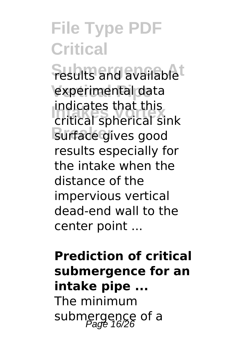**Fesults and availablet** experimental data **Intakes Vortex** critical spherical sink **Burface** gives good indicates that this results especially for the intake when the distance of the impervious vertical dead-end wall to the center point ...

### **Prediction of critical submergence for an intake pipe ...** The minimum submergence of a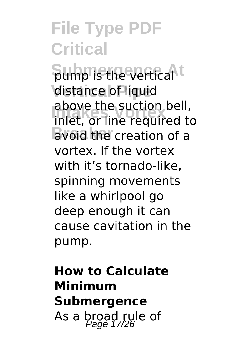**Sump is the vertical t distance of liquid** above the suction bell,<br>inlet, or line required to **Breaker** avoid the creation of a above the suction bell, vortex. If the vortex with it's tornado-like, spinning movements like a whirlpool go deep enough it can cause cavitation in the pump.

### **How to Calculate Minimum Submergence** As a broad rule of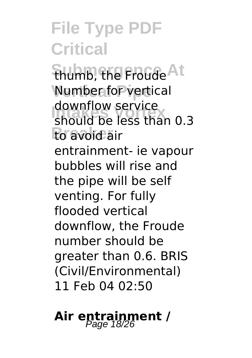**Shumb, the Froude At Number for vertical** adwrittew service<br>
should be less than 0.3 **Breaker** to avoid air downflow service entrainment- ie vapour bubbles will rise and the pipe will be self venting. For fully flooded vertical downflow, the Froude number should be greater than 0.6. BRIS (Civil/Environmental) 11 Feb 04 02:50

### Air entrainment /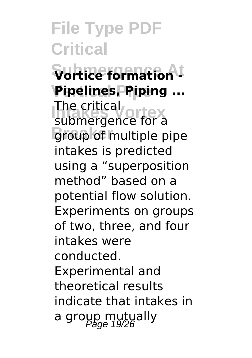**Submergence At Vortice formation - Pipelines, Piping ... Intervalle Critical Breaker** group of multiple pipe submergence for a intakes is predicted using a "superposition method" based on a potential flow solution. Experiments on groups of two, three, and four intakes were conducted. Experimental and theoretical results indicate that intakes in a group mutually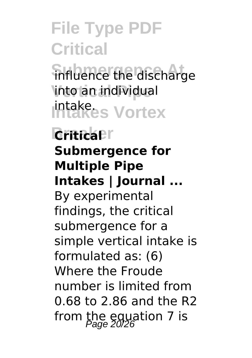influence the discharge **Vertical Pipe** into an individual intake<sub>s</sub> Vortex

**Britica**<sup>r</sup> **Submergence for Multiple Pipe Intakes | Journal ...** By experimental findings, the critical submergence for a simple vertical intake is formulated as: (6) Where the Froude number is limited from 0.68 to 2.86 and the R2 from the equation 7 is  $P_{\text{age}}$  20/26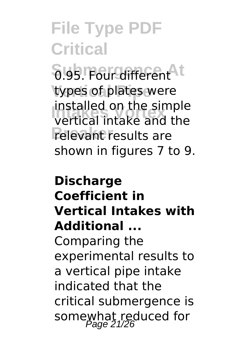**8.95. Four different** types of plates were **Intakes Vortex** vertical intake and the **Prelevant results are** installed on the simple shown in figures 7 to 9.

### **Discharge Coefficient in Vertical Intakes with Additional ...** Comparing the experimental results to a vertical pipe intake indicated that the critical submergence is somewhat reduced for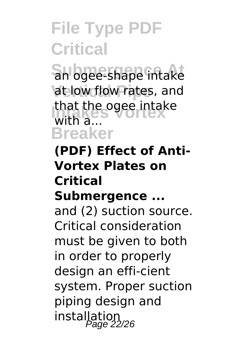Subgee-shape intake at low flow rates, and that the ogee intake **Breaker** with a...

#### **(PDF) Effect of Anti-Vortex Plates on Critical Submergence ...**

and (2) suction source. Critical consideration must be given to both in order to properly design an effi-cient system. Proper suction piping design and installation<br>Page 22/26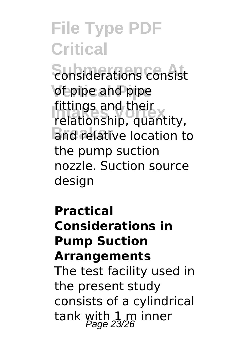**Sonsiderations consist** of pipe and pipe **Intakes Vortex** relationship, quantity, **Brid relative location to** fittings and their the pump suction nozzle. Suction source desian

#### **Practical Considerations in Pump Suction Arrangements**

The test facility used in the present study consists of a cylindrical tank with 1 m inner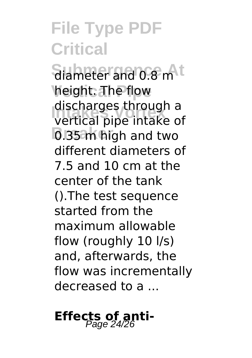**Submergence At** diameter and 0.8 m **height. The flow Intakes Vortex** vertical pipe intake of **B** 35 m high and two discharges through a different diameters of 7.5 and 10 cm at the center of the tank ().The test sequence started from the maximum allowable flow (roughly 10 l/s) and, afterwards, the flow was incrementally decreased to a ...

# **Effects of anti-** Page 24/26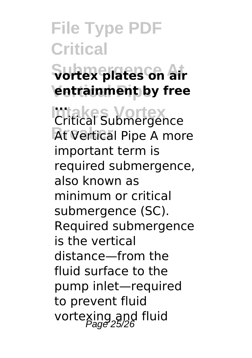# **File Type PDF Critical Submergence At vortex plates on air**

**Vertical Pipe entrainment by free**

**Intakes Vortex ... At Vertical Pipe A more** Critical Submergence important term is required submergence, also known as minimum or critical submergence (SC). Required submergence is the vertical distance—from the fluid surface to the pump inlet—required to prevent fluid vortexing and fluid